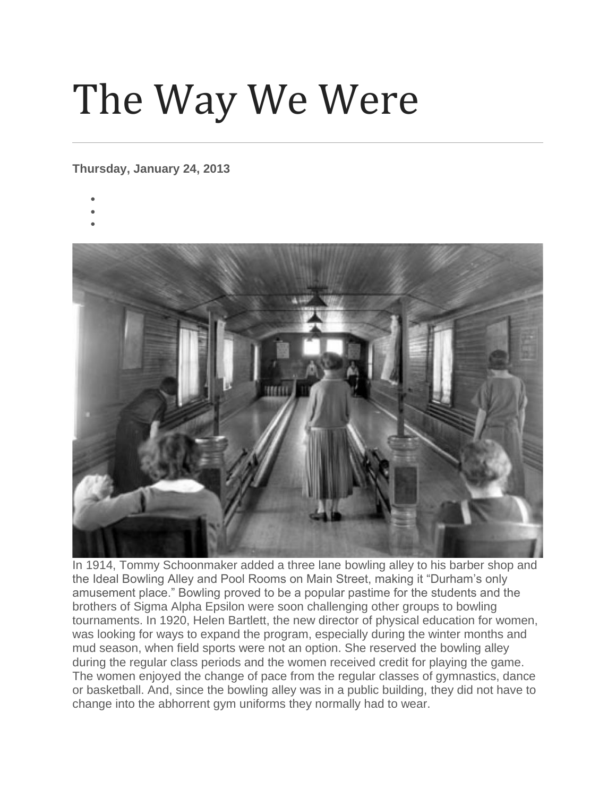## The Way We Were

## **Thursday, January 24, 2013**

- •
- •



In 1914, Tommy Schoonmaker added a three lane bowling alley to his barber shop and the Ideal Bowling Alley and Pool Rooms on Main Street, making it "Durham's only amusement place." Bowling proved to be a popular pastime for the students and the brothers of Sigma Alpha Epsilon were soon challenging other groups to bowling tournaments. In 1920, Helen Bartlett, the new director of physical education for women, was looking for ways to expand the program, especially during the winter months and mud season, when field sports were not an option. She reserved the bowling alley during the regular class periods and the women received credit for playing the game. The women enjoyed the change of pace from the regular classes of gymnastics, dance or basketball. And, since the bowling alley was in a public building, they did not have to change into the abhorrent gym uniforms they normally had to wear.